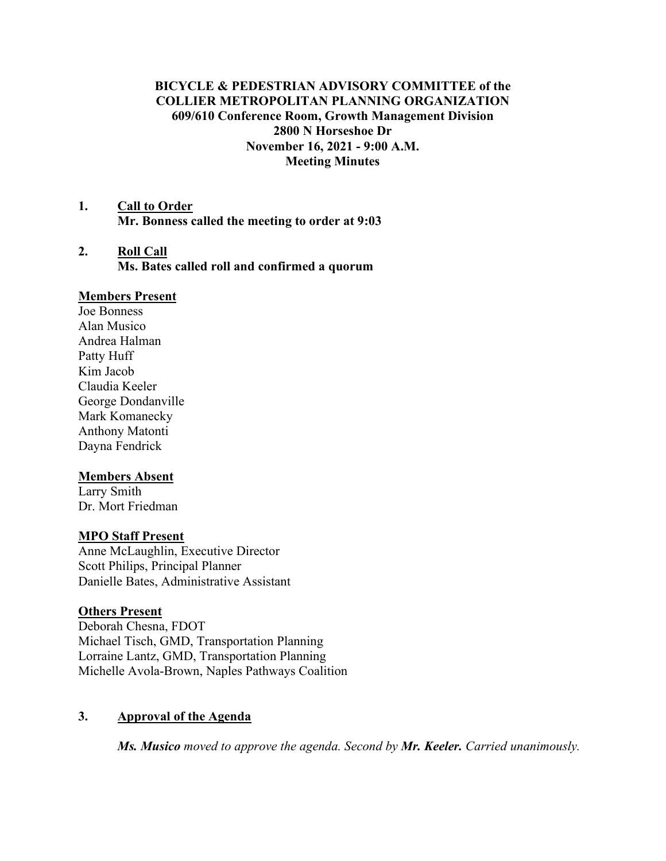# **BICYCLE & PEDESTRIAN ADVISORY COMMITTEE of the COLLIER METROPOLITAN PLANNING ORGANIZATION 609/610 Conference Room, Growth Management Division 2800 N Horseshoe Dr November 16, 2021 - 9:00 A.M. Meeting Minutes**

- **1. Call to Order Mr. Bonness called the meeting to order at 9:03**
- **2. Roll Call Ms. Bates called roll and confirmed a quorum**

#### **Members Present**

Joe Bonness Alan Musico Andrea Halman Patty Huff Kim Jacob Claudia Keeler George Dondanville Mark Komanecky Anthony Matonti Dayna Fendrick

### **Members Absent**

Larry Smith Dr. Mort Friedman

#### **MPO Staff Present**

Anne McLaughlin, Executive Director Scott Philips, Principal Planner Danielle Bates, Administrative Assistant

#### **Others Present**

Deborah Chesna, FDOT Michael Tisch, GMD, Transportation Planning Lorraine Lantz, GMD, Transportation Planning Michelle Avola-Brown, Naples Pathways Coalition

### **3. Approval of the Agenda**

*Ms. Musico moved to approve the agenda. Second by Mr. Keeler. Carried unanimously.*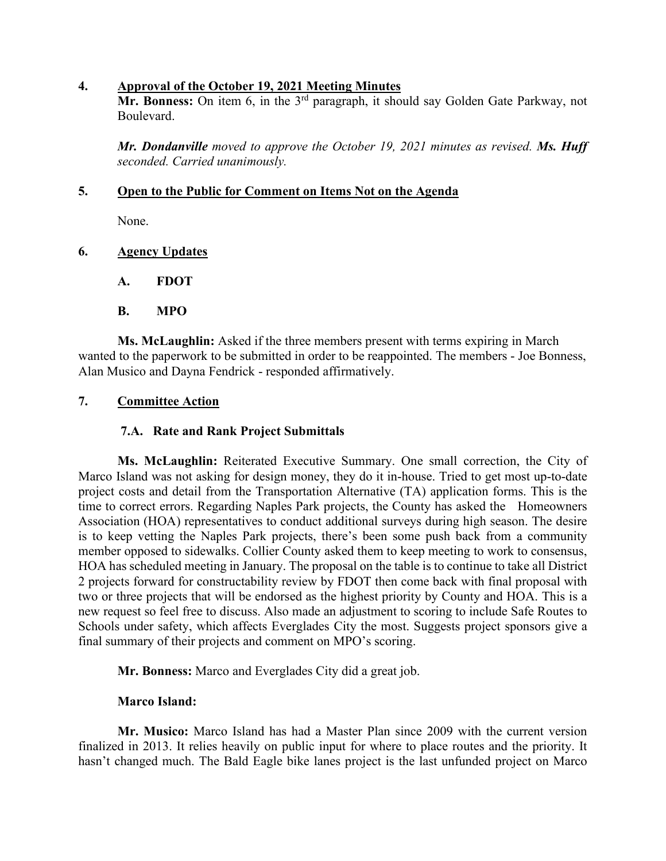### **4. Approval of the October 19, 2021 Meeting Minutes**

**Mr. Bonness:** On item 6, in the 3<sup>rd</sup> paragraph, it should say Golden Gate Parkway, not Boulevard.

*Mr. Dondanville moved to approve the October 19, 2021 minutes as revised. Ms. Huff seconded. Carried unanimously.*

### **5. Open to the Public for Comment on Items Not on the Agenda**

None.

# **6. Agency Updates**

**A. FDOT**

# **B. MPO**

**Ms. McLaughlin:** Asked if the three members present with terms expiring in March wanted to the paperwork to be submitted in order to be reappointed. The members - Joe Bonness, Alan Musico and Dayna Fendrick - responded affirmatively.

# **7. Committee Action**

### **7.A. Rate and Rank Project Submittals**

**Ms. McLaughlin:** Reiterated Executive Summary. One small correction, the City of Marco Island was not asking for design money, they do it in-house. Tried to get most up-to-date project costs and detail from the Transportation Alternative (TA) application forms. This is the time to correct errors. Regarding Naples Park projects, the County has asked the Homeowners Association (HOA) representatives to conduct additional surveys during high season. The desire is to keep vetting the Naples Park projects, there's been some push back from a community member opposed to sidewalks. Collier County asked them to keep meeting to work to consensus, HOA has scheduled meeting in January. The proposal on the table is to continue to take all District 2 projects forward for constructability review by FDOT then come back with final proposal with two or three projects that will be endorsed as the highest priority by County and HOA. This is a new request so feel free to discuss. Also made an adjustment to scoring to include Safe Routes to Schools under safety, which affects Everglades City the most. Suggests project sponsors give a final summary of their projects and comment on MPO's scoring.

**Mr. Bonness:** Marco and Everglades City did a great job.

### **Marco Island:**

**Mr. Musico:** Marco Island has had a Master Plan since 2009 with the current version finalized in 2013. It relies heavily on public input for where to place routes and the priority. It hasn't changed much. The Bald Eagle bike lanes project is the last unfunded project on Marco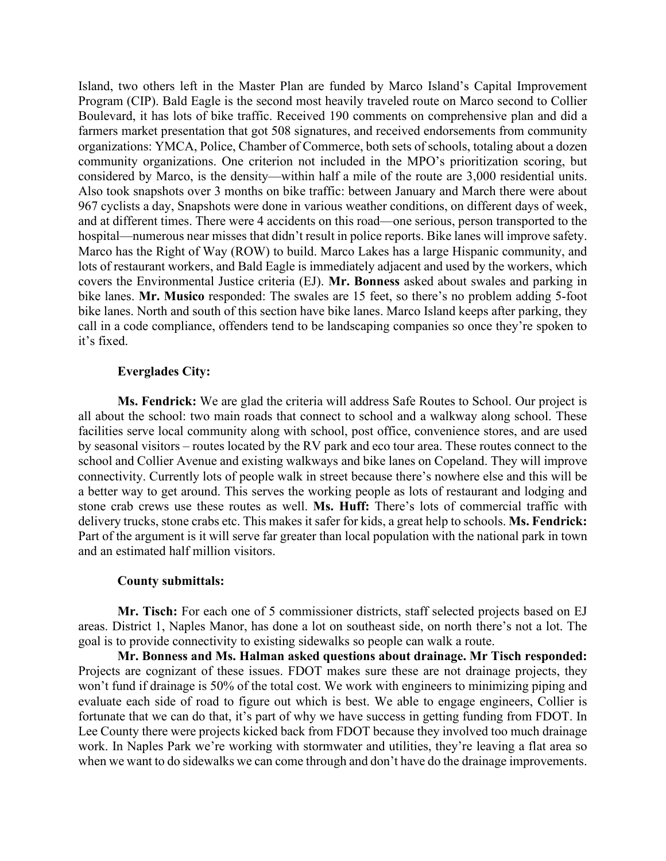Island, two others left in the Master Plan are funded by Marco Island's Capital Improvement Program (CIP). Bald Eagle is the second most heavily traveled route on Marco second to Collier Boulevard, it has lots of bike traffic. Received 190 comments on comprehensive plan and did a farmers market presentation that got 508 signatures, and received endorsements from community organizations: YMCA, Police, Chamber of Commerce, both sets of schools, totaling about a dozen community organizations. One criterion not included in the MPO's prioritization scoring, but considered by Marco, is the density—within half a mile of the route are 3,000 residential units. Also took snapshots over 3 months on bike traffic: between January and March there were about 967 cyclists a day, Snapshots were done in various weather conditions, on different days of week, and at different times. There were 4 accidents on this road—one serious, person transported to the hospital—numerous near misses that didn't result in police reports. Bike lanes will improve safety. Marco has the Right of Way (ROW) to build. Marco Lakes has a large Hispanic community, and lots of restaurant workers, and Bald Eagle is immediately adjacent and used by the workers, which covers the Environmental Justice criteria (EJ). **Mr. Bonness** asked about swales and parking in bike lanes. **Mr. Musico** responded: The swales are 15 feet, so there's no problem adding 5-foot bike lanes. North and south of this section have bike lanes. Marco Island keeps after parking, they call in a code compliance, offenders tend to be landscaping companies so once they're spoken to it's fixed.

#### **Everglades City:**

**Ms. Fendrick:** We are glad the criteria will address Safe Routes to School. Our project is all about the school: two main roads that connect to school and a walkway along school. These facilities serve local community along with school, post office, convenience stores, and are used by seasonal visitors – routes located by the RV park and eco tour area. These routes connect to the school and Collier Avenue and existing walkways and bike lanes on Copeland. They will improve connectivity. Currently lots of people walk in street because there's nowhere else and this will be a better way to get around. This serves the working people as lots of restaurant and lodging and stone crab crews use these routes as well. **Ms. Huff:** There's lots of commercial traffic with delivery trucks, stone crabs etc. This makes it safer for kids, a great help to schools. **Ms. Fendrick:**  Part of the argument is it will serve far greater than local population with the national park in town and an estimated half million visitors.

#### **County submittals:**

**Mr. Tisch:** For each one of 5 commissioner districts, staff selected projects based on EJ areas. District 1, Naples Manor, has done a lot on southeast side, on north there's not a lot. The goal is to provide connectivity to existing sidewalks so people can walk a route.

**Mr. Bonness and Ms. Halman asked questions about drainage. Mr Tisch responded:** Projects are cognizant of these issues. FDOT makes sure these are not drainage projects, they won't fund if drainage is 50% of the total cost. We work with engineers to minimizing piping and evaluate each side of road to figure out which is best. We able to engage engineers, Collier is fortunate that we can do that, it's part of why we have success in getting funding from FDOT. In Lee County there were projects kicked back from FDOT because they involved too much drainage work. In Naples Park we're working with stormwater and utilities, they're leaving a flat area so when we want to do sidewalks we can come through and don't have do the drainage improvements.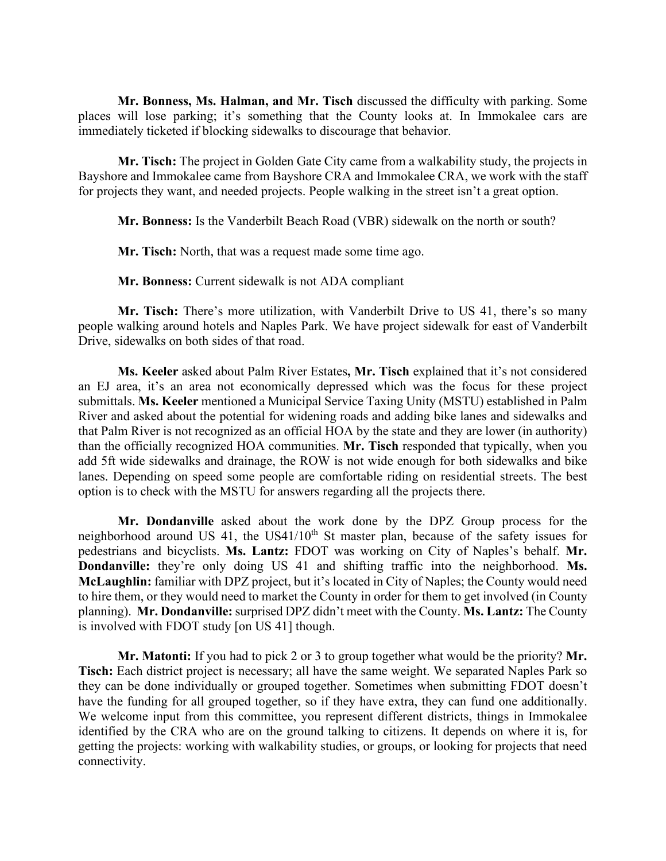**Mr. Bonness, Ms. Halman, and Mr. Tisch** discussed the difficulty with parking. Some places will lose parking; it's something that the County looks at. In Immokalee cars are immediately ticketed if blocking sidewalks to discourage that behavior.

**Mr. Tisch:** The project in Golden Gate City came from a walkability study, the projects in Bayshore and Immokalee came from Bayshore CRA and Immokalee CRA, we work with the staff for projects they want, and needed projects. People walking in the street isn't a great option.

**Mr. Bonness:** Is the Vanderbilt Beach Road (VBR) sidewalk on the north or south?

**Mr. Tisch:** North, that was a request made some time ago.

**Mr. Bonness:** Current sidewalk is not ADA compliant

**Mr. Tisch:** There's more utilization, with Vanderbilt Drive to US 41, there's so many people walking around hotels and Naples Park. We have project sidewalk for east of Vanderbilt Drive, sidewalks on both sides of that road.

**Ms. Keeler** asked about Palm River Estates**, Mr. Tisch** explained that it's not considered an EJ area, it's an area not economically depressed which was the focus for these project submittals. **Ms. Keeler** mentioned a Municipal Service Taxing Unity (MSTU) established in Palm River and asked about the potential for widening roads and adding bike lanes and sidewalks and that Palm River is not recognized as an official HOA by the state and they are lower (in authority) than the officially recognized HOA communities. **Mr. Tisch** responded that typically, when you add 5ft wide sidewalks and drainage, the ROW is not wide enough for both sidewalks and bike lanes. Depending on speed some people are comfortable riding on residential streets. The best option is to check with the MSTU for answers regarding all the projects there.

**Mr. Dondanville** asked about the work done by the DPZ Group process for the neighborhood around US 41, the US41/10<sup>th</sup> St master plan, because of the safety issues for pedestrians and bicyclists. **Ms. Lantz:** FDOT was working on City of Naples's behalf. **Mr. Dondanville:** they're only doing US 41 and shifting traffic into the neighborhood. **Ms. McLaughlin:** familiar with DPZ project, but it's located in City of Naples; the County would need to hire them, or they would need to market the County in order for them to get involved (in County planning). **Mr. Dondanville:** surprised DPZ didn't meet with the County. **Ms. Lantz:** The County is involved with FDOT study [on US 41] though.

**Mr. Matonti:** If you had to pick 2 or 3 to group together what would be the priority? **Mr. Tisch:** Each district project is necessary; all have the same weight. We separated Naples Park so they can be done individually or grouped together. Sometimes when submitting FDOT doesn't have the funding for all grouped together, so if they have extra, they can fund one additionally. We welcome input from this committee, you represent different districts, things in Immokalee identified by the CRA who are on the ground talking to citizens. It depends on where it is, for getting the projects: working with walkability studies, or groups, or looking for projects that need connectivity.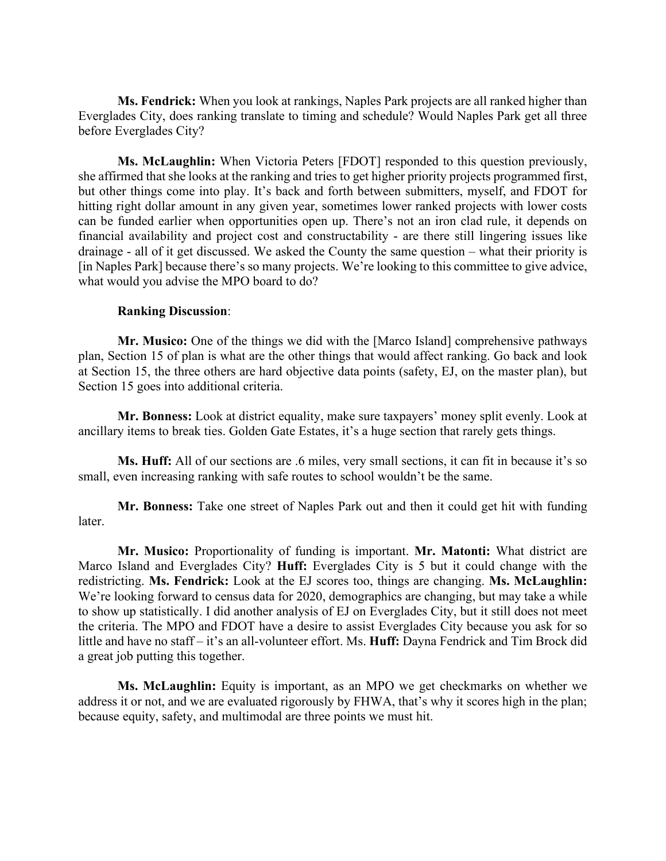**Ms. Fendrick:** When you look at rankings, Naples Park projects are all ranked higher than Everglades City, does ranking translate to timing and schedule? Would Naples Park get all three before Everglades City?

**Ms. McLaughlin:** When Victoria Peters [FDOT] responded to this question previously, she affirmed that she looks at the ranking and tries to get higher priority projects programmed first, but other things come into play. It's back and forth between submitters, myself, and FDOT for hitting right dollar amount in any given year, sometimes lower ranked projects with lower costs can be funded earlier when opportunities open up. There's not an iron clad rule, it depends on financial availability and project cost and constructability - are there still lingering issues like drainage - all of it get discussed. We asked the County the same question – what their priority is [in Naples Park] because there's so many projects. We're looking to this committee to give advice, what would you advise the MPO board to do?

#### **Ranking Discussion**:

**Mr. Musico:** One of the things we did with the [Marco Island] comprehensive pathways plan, Section 15 of plan is what are the other things that would affect ranking. Go back and look at Section 15, the three others are hard objective data points (safety, EJ, on the master plan), but Section 15 goes into additional criteria.

**Mr. Bonness:** Look at district equality, make sure taxpayers' money split evenly. Look at ancillary items to break ties. Golden Gate Estates, it's a huge section that rarely gets things.

**Ms. Huff:** All of our sections are .6 miles, very small sections, it can fit in because it's so small, even increasing ranking with safe routes to school wouldn't be the same.

**Mr. Bonness:** Take one street of Naples Park out and then it could get hit with funding later.

**Mr. Musico:** Proportionality of funding is important. **Mr. Matonti:** What district are Marco Island and Everglades City? **Huff:** Everglades City is 5 but it could change with the redistricting. **Ms. Fendrick:** Look at the EJ scores too, things are changing. **Ms. McLaughlin:**  We're looking forward to census data for 2020, demographics are changing, but may take a while to show up statistically. I did another analysis of EJ on Everglades City, but it still does not meet the criteria. The MPO and FDOT have a desire to assist Everglades City because you ask for so little and have no staff – it's an all-volunteer effort. Ms. **Huff:** Dayna Fendrick and Tim Brock did a great job putting this together.

**Ms. McLaughlin:** Equity is important, as an MPO we get checkmarks on whether we address it or not, and we are evaluated rigorously by FHWA, that's why it scores high in the plan; because equity, safety, and multimodal are three points we must hit.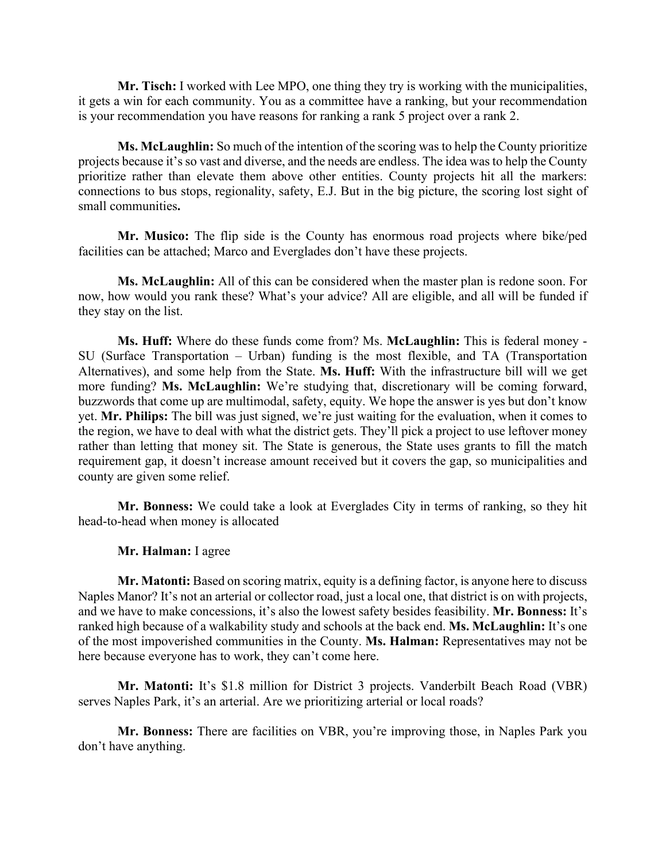**Mr. Tisch:** I worked with Lee MPO, one thing they try is working with the municipalities, it gets a win for each community. You as a committee have a ranking, but your recommendation is your recommendation you have reasons for ranking a rank 5 project over a rank 2.

**Ms. McLaughlin:** So much of the intention of the scoring was to help the County prioritize projects because it's so vast and diverse, and the needs are endless. The idea was to help the County prioritize rather than elevate them above other entities. County projects hit all the markers: connections to bus stops, regionality, safety, E.J. But in the big picture, the scoring lost sight of small communities**.**

**Mr. Musico:** The flip side is the County has enormous road projects where bike/ped facilities can be attached; Marco and Everglades don't have these projects.

**Ms. McLaughlin:** All of this can be considered when the master plan is redone soon. For now, how would you rank these? What's your advice? All are eligible, and all will be funded if they stay on the list.

**Ms. Huff:** Where do these funds come from? Ms. **McLaughlin:** This is federal money - SU (Surface Transportation – Urban) funding is the most flexible, and TA (Transportation Alternatives), and some help from the State. **Ms. Huff:** With the infrastructure bill will we get more funding? **Ms. McLaughlin:** We're studying that, discretionary will be coming forward, buzzwords that come up are multimodal, safety, equity. We hope the answer is yes but don't know yet. **Mr. Philips:** The bill was just signed, we're just waiting for the evaluation, when it comes to the region, we have to deal with what the district gets. They'll pick a project to use leftover money rather than letting that money sit. The State is generous, the State uses grants to fill the match requirement gap, it doesn't increase amount received but it covers the gap, so municipalities and county are given some relief.

**Mr. Bonness:** We could take a look at Everglades City in terms of ranking, so they hit head-to-head when money is allocated

#### **Mr. Halman:** I agree

**Mr. Matonti:** Based on scoring matrix, equity is a defining factor, is anyone here to discuss Naples Manor? It's not an arterial or collector road, just a local one, that district is on with projects, and we have to make concessions, it's also the lowest safety besides feasibility. **Mr. Bonness:** It's ranked high because of a walkability study and schools at the back end. **Ms. McLaughlin:** It's one of the most impoverished communities in the County. **Ms. Halman:** Representatives may not be here because everyone has to work, they can't come here.

**Mr. Matonti:** It's \$1.8 million for District 3 projects. Vanderbilt Beach Road (VBR) serves Naples Park, it's an arterial. Are we prioritizing arterial or local roads?

**Mr. Bonness:** There are facilities on VBR, you're improving those, in Naples Park you don't have anything.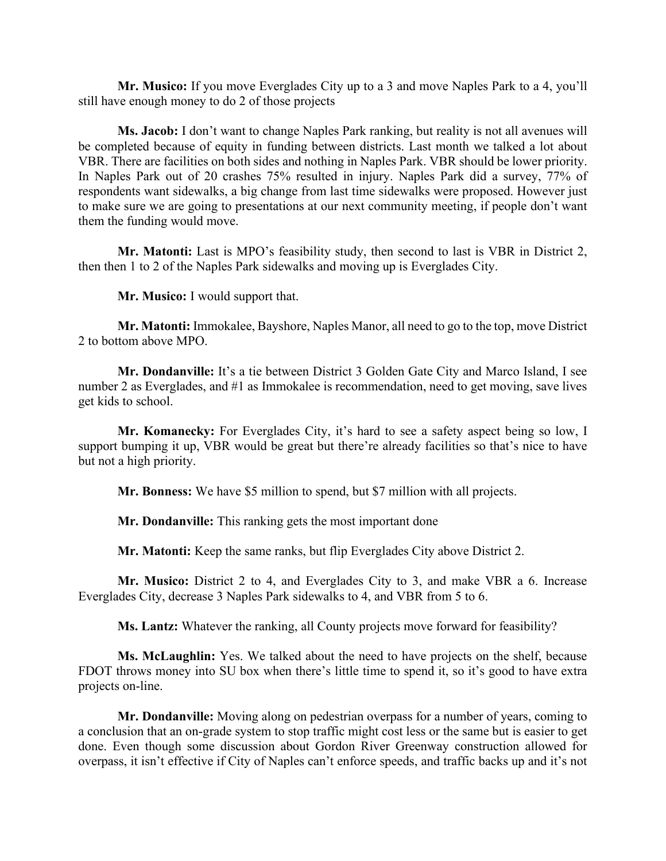**Mr. Musico:** If you move Everglades City up to a 3 and move Naples Park to a 4, you'll still have enough money to do 2 of those projects

**Ms. Jacob:** I don't want to change Naples Park ranking, but reality is not all avenues will be completed because of equity in funding between districts. Last month we talked a lot about VBR. There are facilities on both sides and nothing in Naples Park. VBR should be lower priority. In Naples Park out of 20 crashes 75% resulted in injury. Naples Park did a survey, 77% of respondents want sidewalks, a big change from last time sidewalks were proposed. However just to make sure we are going to presentations at our next community meeting, if people don't want them the funding would move.

**Mr. Matonti:** Last is MPO's feasibility study, then second to last is VBR in District 2, then then 1 to 2 of the Naples Park sidewalks and moving up is Everglades City.

**Mr. Musico:** I would support that.

**Mr. Matonti:** Immokalee, Bayshore, Naples Manor, all need to go to the top, move District 2 to bottom above MPO.

**Mr. Dondanville:** It's a tie between District 3 Golden Gate City and Marco Island, I see number 2 as Everglades, and #1 as Immokalee is recommendation, need to get moving, save lives get kids to school.

**Mr. Komanecky:** For Everglades City, it's hard to see a safety aspect being so low, I support bumping it up, VBR would be great but there're already facilities so that's nice to have but not a high priority.

**Mr. Bonness:** We have \$5 million to spend, but \$7 million with all projects.

**Mr. Dondanville:** This ranking gets the most important done

**Mr. Matonti:** Keep the same ranks, but flip Everglades City above District 2.

**Mr. Musico:** District 2 to 4, and Everglades City to 3, and make VBR a 6. Increase Everglades City, decrease 3 Naples Park sidewalks to 4, and VBR from 5 to 6.

**Ms. Lantz:** Whatever the ranking, all County projects move forward for feasibility?

**Ms. McLaughlin:** Yes. We talked about the need to have projects on the shelf, because FDOT throws money into SU box when there's little time to spend it, so it's good to have extra projects on-line.

**Mr. Dondanville:** Moving along on pedestrian overpass for a number of years, coming to a conclusion that an on-grade system to stop traffic might cost less or the same but is easier to get done. Even though some discussion about Gordon River Greenway construction allowed for overpass, it isn't effective if City of Naples can't enforce speeds, and traffic backs up and it's not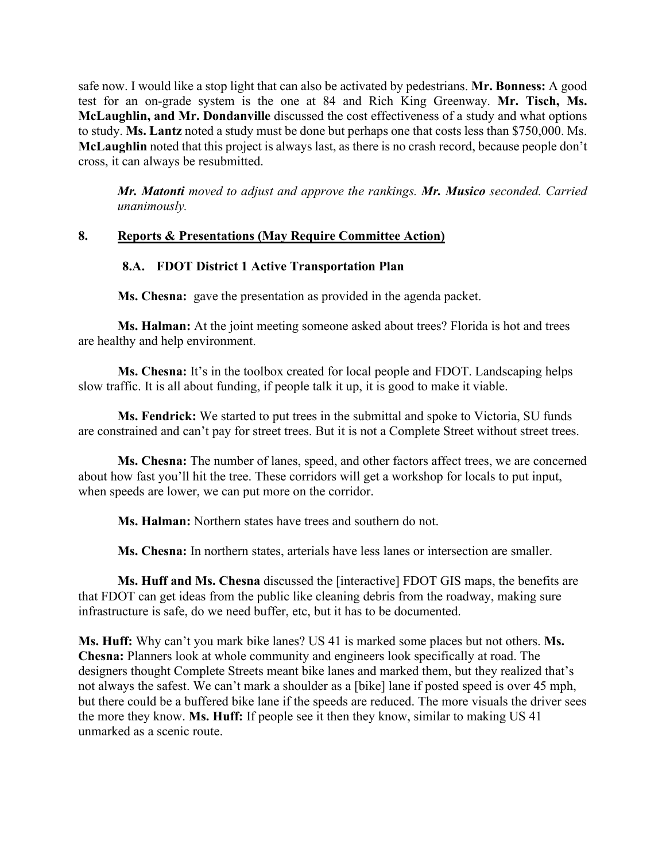safe now. I would like a stop light that can also be activated by pedestrians. **Mr. Bonness:** A good test for an on-grade system is the one at 84 and Rich King Greenway. **Mr. Tisch, Ms. McLaughlin, and Mr. Dondanville** discussed the cost effectiveness of a study and what options to study. **Ms. Lantz** noted a study must be done but perhaps one that costs less than \$750,000. Ms. **McLaughlin** noted that this project is always last, as there is no crash record, because people don't cross, it can always be resubmitted.

*Mr. Matonti moved to adjust and approve the rankings. Mr. Musico seconded. Carried unanimously.*

# **8. Reports & Presentations (May Require Committee Action)**

# **8.A. FDOT District 1 Active Transportation Plan**

**Ms. Chesna:** gave the presentation as provided in the agenda packet.

**Ms. Halman:** At the joint meeting someone asked about trees? Florida is hot and trees are healthy and help environment.

**Ms. Chesna:** It's in the toolbox created for local people and FDOT. Landscaping helps slow traffic. It is all about funding, if people talk it up, it is good to make it viable.

**Ms. Fendrick:** We started to put trees in the submittal and spoke to Victoria, SU funds are constrained and can't pay for street trees. But it is not a Complete Street without street trees.

**Ms. Chesna:** The number of lanes, speed, and other factors affect trees, we are concerned about how fast you'll hit the tree. These corridors will get a workshop for locals to put input, when speeds are lower, we can put more on the corridor.

**Ms. Halman:** Northern states have trees and southern do not.

**Ms. Chesna:** In northern states, arterials have less lanes or intersection are smaller.

**Ms. Huff and Ms. Chesna** discussed the [interactive] FDOT GIS maps, the benefits are that FDOT can get ideas from the public like cleaning debris from the roadway, making sure infrastructure is safe, do we need buffer, etc, but it has to be documented.

**Ms. Huff:** Why can't you mark bike lanes? US 41 is marked some places but not others. **Ms. Chesna:** Planners look at whole community and engineers look specifically at road. The designers thought Complete Streets meant bike lanes and marked them, but they realized that's not always the safest. We can't mark a shoulder as a [bike] lane if posted speed is over 45 mph, but there could be a buffered bike lane if the speeds are reduced. The more visuals the driver sees the more they know. **Ms. Huff:** If people see it then they know, similar to making US 41 unmarked as a scenic route.